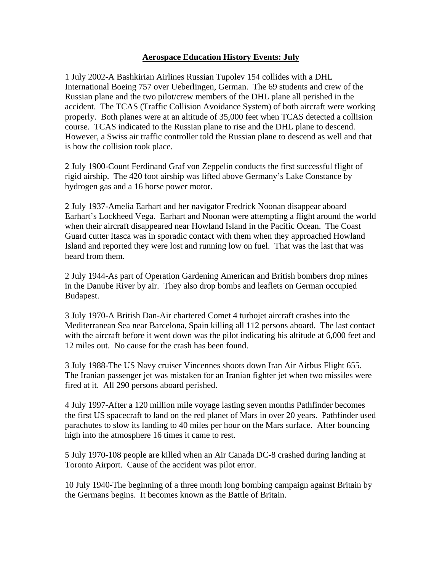## **Aerospace Education History Events: July**

1 July 2002-A Bashkirian Airlines Russian Tupolev 154 collides with a DHL International Boeing 757 over Ueberlingen, German. The 69 students and crew of the Russian plane and the two pilot/crew members of the DHL plane all perished in the accident. The TCAS (Traffic Collision Avoidance System) of both aircraft were working properly. Both planes were at an altitude of 35,000 feet when TCAS detected a collision course. TCAS indicated to the Russian plane to rise and the DHL plane to descend. However, a Swiss air traffic controller told the Russian plane to descend as well and that is how the collision took place.

2 July 1900-Count Ferdinand Graf von Zeppelin conducts the first successful flight of rigid airship. The 420 foot airship was lifted above Germany's Lake Constance by hydrogen gas and a 16 horse power motor.

2 July 1937-Amelia Earhart and her navigator Fredrick Noonan disappear aboard Earhart's Lockheed Vega. Earhart and Noonan were attempting a flight around the world when their aircraft disappeared near Howland Island in the Pacific Ocean. The Coast Guard cutter Itasca was in sporadic contact with them when they approached Howland Island and reported they were lost and running low on fuel. That was the last that was heard from them.

2 July 1944-As part of Operation Gardening American and British bombers drop mines in the Danube River by air. They also drop bombs and leaflets on German occupied Budapest.

3 July 1970-A British Dan-Air chartered Comet 4 turbojet aircraft crashes into the Mediterranean Sea near Barcelona, Spain killing all 112 persons aboard. The last contact with the aircraft before it went down was the pilot indicating his altitude at 6,000 feet and 12 miles out. No cause for the crash has been found.

3 July 1988-The US Navy cruiser Vincennes shoots down Iran Air Airbus Flight 655. The Iranian passenger jet was mistaken for an Iranian fighter jet when two missiles were fired at it. All 290 persons aboard perished.

4 July 1997-After a 120 million mile voyage lasting seven months Pathfinder becomes the first US spacecraft to land on the red planet of Mars in over 20 years. Pathfinder used parachutes to slow its landing to 40 miles per hour on the Mars surface. After bouncing high into the atmosphere 16 times it came to rest.

5 July 1970-108 people are killed when an Air Canada DC-8 crashed during landing at Toronto Airport. Cause of the accident was pilot error.

10 July 1940-The beginning of a three month long bombing campaign against Britain by the Germans begins. It becomes known as the Battle of Britain.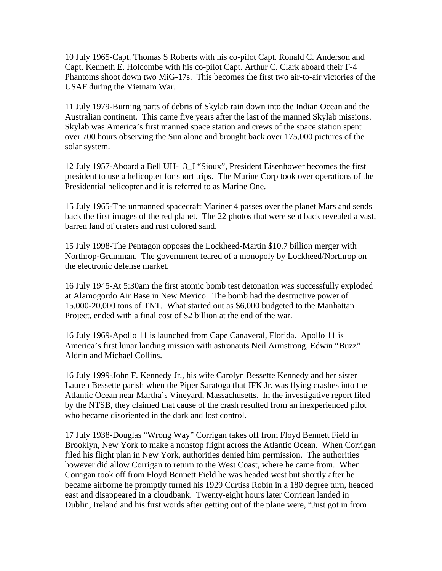10 July 1965-Capt. Thomas S Roberts with his co-pilot Capt. Ronald C. Anderson and Capt. Kenneth E. Holcombe with his co-pilot Capt. Arthur C. Clark aboard their F-4 Phantoms shoot down two MiG-17s. This becomes the first two air-to-air victories of the USAF during the Vietnam War.

11 July 1979-Burning parts of debris of Skylab rain down into the Indian Ocean and the Australian continent. This came five years after the last of the manned Skylab missions. Skylab was America's first manned space station and crews of the space station spent over 700 hours observing the Sun alone and brought back over 175,000 pictures of the solar system.

12 July 1957-Aboard a Bell UH-13\_J "Sioux", President Eisenhower becomes the first president to use a helicopter for short trips. The Marine Corp took over operations of the Presidential helicopter and it is referred to as Marine One.

15 July 1965-The unmanned spacecraft Mariner 4 passes over the planet Mars and sends back the first images of the red planet. The 22 photos that were sent back revealed a vast, barren land of craters and rust colored sand.

15 July 1998-The Pentagon opposes the Lockheed-Martin \$10.7 billion merger with Northrop-Grumman. The government feared of a monopoly by Lockheed/Northrop on the electronic defense market.

16 July 1945-At 5:30am the first atomic bomb test detonation was successfully exploded at Alamogordo Air Base in New Mexico. The bomb had the destructive power of 15,000-20,000 tons of TNT. What started out as \$6,000 budgeted to the Manhattan Project, ended with a final cost of \$2 billion at the end of the war.

16 July 1969-Apollo 11 is launched from Cape Canaveral, Florida. Apollo 11 is America's first lunar landing mission with astronauts Neil Armstrong, Edwin "Buzz" Aldrin and Michael Collins.

16 July 1999-John F. Kennedy Jr., his wife Carolyn Bessette Kennedy and her sister Lauren Bessette parish when the Piper Saratoga that JFK Jr. was flying crashes into the Atlantic Ocean near Martha's Vineyard, Massachusetts. In the investigative report filed by the NTSB, they claimed that cause of the crash resulted from an inexperienced pilot who became disoriented in the dark and lost control.

17 July 1938-Douglas "Wrong Way" Corrigan takes off from Floyd Bennett Field in Brooklyn, New York to make a nonstop flight across the Atlantic Ocean. When Corrigan filed his flight plan in New York, authorities denied him permission. The authorities however did allow Corrigan to return to the West Coast, where he came from. When Corrigan took off from Floyd Bennett Field he was headed west but shortly after he became airborne he promptly turned his 1929 Curtiss Robin in a 180 degree turn, headed east and disappeared in a cloudbank. Twenty-eight hours later Corrigan landed in Dublin, Ireland and his first words after getting out of the plane were, "Just got in from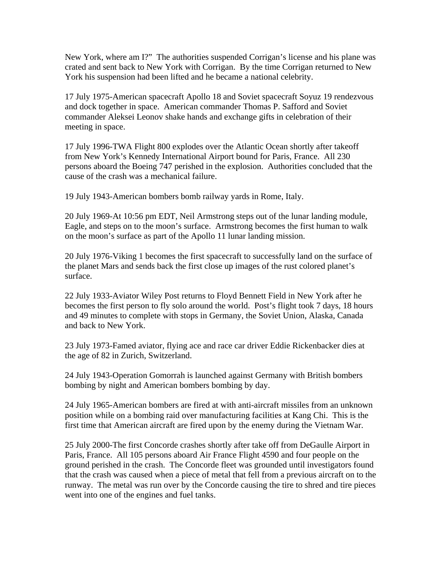New York, where am I?" The authorities suspended Corrigan's license and his plane was crated and sent back to New York with Corrigan. By the time Corrigan returned to New York his suspension had been lifted and he became a national celebrity.

17 July 1975-American spacecraft Apollo 18 and Soviet spacecraft Soyuz 19 rendezvous and dock together in space. American commander Thomas P. Safford and Soviet commander Aleksei Leonov shake hands and exchange gifts in celebration of their meeting in space.

17 July 1996-TWA Flight 800 explodes over the Atlantic Ocean shortly after takeoff from New York's Kennedy International Airport bound for Paris, France. All 230 persons aboard the Boeing 747 perished in the explosion. Authorities concluded that the cause of the crash was a mechanical failure.

19 July 1943-American bombers bomb railway yards in Rome, Italy.

20 July 1969-At 10:56 pm EDT, Neil Armstrong steps out of the lunar landing module, Eagle, and steps on to the moon's surface. Armstrong becomes the first human to walk on the moon's surface as part of the Apollo 11 lunar landing mission.

20 July 1976-Viking 1 becomes the first spacecraft to successfully land on the surface of the planet Mars and sends back the first close up images of the rust colored planet's surface.

22 July 1933-Aviator Wiley Post returns to Floyd Bennett Field in New York after he becomes the first person to fly solo around the world. Post's flight took 7 days, 18 hours and 49 minutes to complete with stops in Germany, the Soviet Union, Alaska, Canada and back to New York.

23 July 1973-Famed aviator, flying ace and race car driver Eddie Rickenbacker dies at the age of 82 in Zurich, Switzerland.

24 July 1943-Operation Gomorrah is launched against Germany with British bombers bombing by night and American bombers bombing by day.

24 July 1965-American bombers are fired at with anti-aircraft missiles from an unknown position while on a bombing raid over manufacturing facilities at Kang Chi. This is the first time that American aircraft are fired upon by the enemy during the Vietnam War.

25 July 2000-The first Concorde crashes shortly after take off from DeGaulle Airport in Paris, France. All 105 persons aboard Air France Flight 4590 and four people on the ground perished in the crash. The Concorde fleet was grounded until investigators found that the crash was caused when a piece of metal that fell from a previous aircraft on to the runway. The metal was run over by the Concorde causing the tire to shred and tire pieces went into one of the engines and fuel tanks.